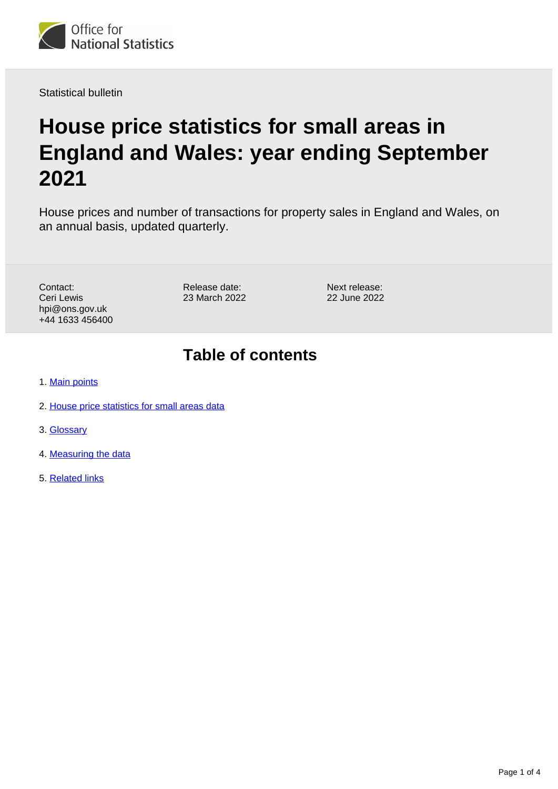

Statistical bulletin

# **House price statistics for small areas in England and Wales: year ending September 2021**

House prices and number of transactions for property sales in England and Wales, on an annual basis, updated quarterly.

Contact: Ceri Lewis hpi@ons.gov.uk +44 1633 456400 Release date: 23 March 2022

Next release: 22 June 2022

### **Table of contents**

- 1. [Main points](#page-1-0)
- 2. [House price statistics for small areas data](#page-1-1)
- 3. [Glossary](#page-1-2)
- 4. [Measuring the data](#page-2-0)
- 5. [Related links](#page-3-0)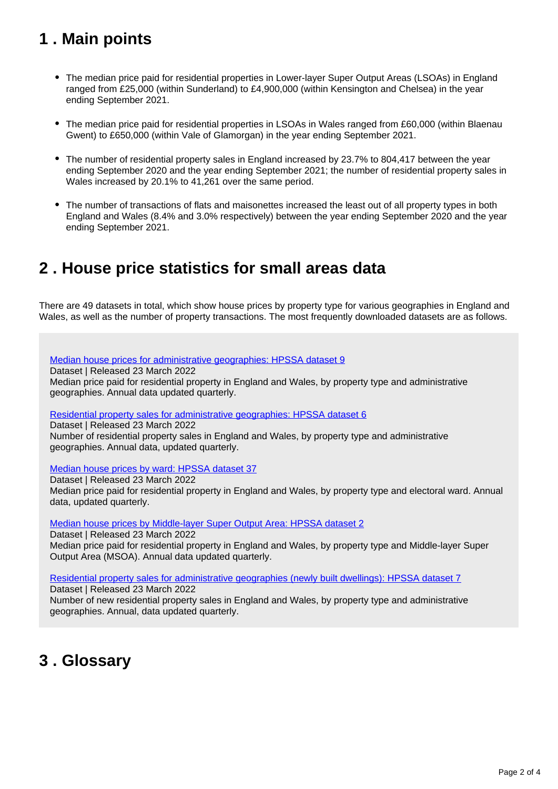## <span id="page-1-0"></span>**1 . Main points**

- The median price paid for residential properties in Lower-layer Super Output Areas (LSOAs) in England ranged from £25,000 (within Sunderland) to £4,900,000 (within Kensington and Chelsea) in the year ending September 2021.
- The median price paid for residential properties in LSOAs in Wales ranged from £60,000 (within Blaenau Gwent) to £650,000 (within Vale of Glamorgan) in the year ending September 2021.
- The number of residential property sales in England increased by 23.7% to 804,417 between the year ending September 2020 and the year ending September 2021; the number of residential property sales in Wales increased by 20.1% to 41,261 over the same period.
- The number of transactions of flats and maisonettes increased the least out of all property types in both England and Wales (8.4% and 3.0% respectively) between the year ending September 2020 and the year ending September 2021.

### <span id="page-1-1"></span>**2 . House price statistics for small areas data**

There are 49 datasets in total, which show house prices by property type for various geographies in England and Wales, as well as the number of property transactions. The most frequently downloaded datasets are as follows.

[Median house prices for administrative geographies: HPSSA dataset 9](https://www.ons.gov.uk/peoplepopulationandcommunity/housing/datasets/medianhousepricefornationalandsubnationalgeographiesquarterlyrollingyearhpssadataset09)

Dataset | Released 23 March 2022

Median price paid for residential property in England and Wales, by property type and administrative geographies. Annual data updated quarterly.

[Residential property sales for administrative geographies: HPSSA dataset 6](https://www.ons.gov.uk/peoplepopulationandcommunity/housing/datasets/numberofresidentialpropertysalesfornationalandsubnationalgeographiesquarterlyrollingyearhpssadataset06)

Dataset | Released 23 March 2022

Number of residential property sales in England and Wales, by property type and administrative geographies. Annual data, updated quarterly.

[Median house prices by ward: HPSSA dataset 37](https://www.ons.gov.uk/peoplepopulationandcommunity/housing/datasets/medianpricepaidbywardhpssadataset37)

Dataset | Released 23 March 2022 Median price paid for residential property in England and Wales, by property type and electoral ward. Annual data, updated quarterly.

[Median house prices by Middle-layer Super Output Area: HPSSA dataset 2](https://www.ons.gov.uk/peoplepopulationandcommunity/housing/datasets/hpssadataset2medianhousepricebymsoaquarterlyrollingyear)

Dataset | Released 23 March 2022

Median price paid for residential property in England and Wales, by property type and Middle-layer Super Output Area (MSOA). Annual data updated quarterly.

[Residential property sales for administrative geographies \(newly built dwellings\): HPSSA dataset 7](https://www.ons.gov.uk/peoplepopulationandcommunity/housing/datasets/numberofresidentialpropertysalesfornationalandsubnationalgeographiesnewlybuiltdwellingsquarterlyrollingyearhpssadataset07)

Dataset | Released 23 March 2022

Number of new residential property sales in England and Wales, by property type and administrative geographies. Annual, data updated quarterly.

## <span id="page-1-2"></span>**3 . Glossary**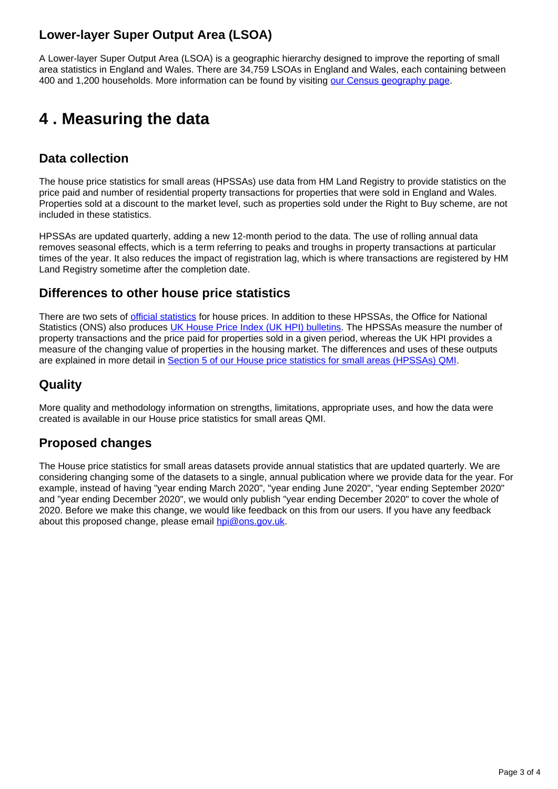### **Lower-layer Super Output Area (LSOA)**

A Lower-layer Super Output Area (LSOA) is a geographic hierarchy designed to improve the reporting of small area statistics in England and Wales. There are 34,759 LSOAs in England and Wales, each containing between 400 and 1,200 households. More information can be found by visiting [our Census geography page](https://www.ons.gov.uk/methodology/geography/ukgeographies/censusgeography).

## <span id="page-2-0"></span>**4 . Measuring the data**

### **Data collection**

The house price statistics for small areas (HPSSAs) use data from HM Land Registry to provide statistics on the price paid and number of residential property transactions for properties that were sold in England and Wales. Properties sold at a discount to the market level, such as properties sold under the Right to Buy scheme, are not included in these statistics.

HPSSAs are updated quarterly, adding a new 12-month period to the data. The use of rolling annual data removes seasonal effects, which is a term referring to peaks and troughs in property transactions at particular times of the year. It also reduces the impact of registration lag, which is where transactions are registered by HM Land Registry sometime after the completion date.

### **Differences to other house price statistics**

There are two sets of *official statistics* for house prices. In addition to these HPSSAs, the Office for National Statistics (ONS) also produces [UK House Price Index \(UK HPI\) bulletins](https://www.ons.gov.uk/economy/inflationandpriceindices/bulletins/housepriceindex/previousReleases). The HPSSAs measure the number of property transactions and the price paid for properties sold in a given period, whereas the UK HPI provides a measure of the changing value of properties in the housing market. The differences and uses of these outputs are explained in more detail in [Section 5 of our House price statistics for small areas \(HPSSAs\) QMI](https://www.ons.gov.uk/peoplepopulationandcommunity/housing/methodologies/housepricestatisticsforsmallareasqmi#quality-characteristics-of-the-data).

### **Quality**

More quality and methodology information on strengths, limitations, appropriate uses, and how the data were created is available in our House price statistics for small areas QMI.

### **Proposed changes**

The House price statistics for small areas datasets provide annual statistics that are updated quarterly. We are considering changing some of the datasets to a single, annual publication where we provide data for the year. For example, instead of having "year ending March 2020", "year ending June 2020", "year ending September 2020" and "year ending December 2020", we would only publish "year ending December 2020" to cover the whole of 2020. Before we make this change, we would like feedback on this from our users. If you have any feedback about this proposed change, please email [hpi@ons.gov.uk.](mailto:hpi@ons.gov.uk)